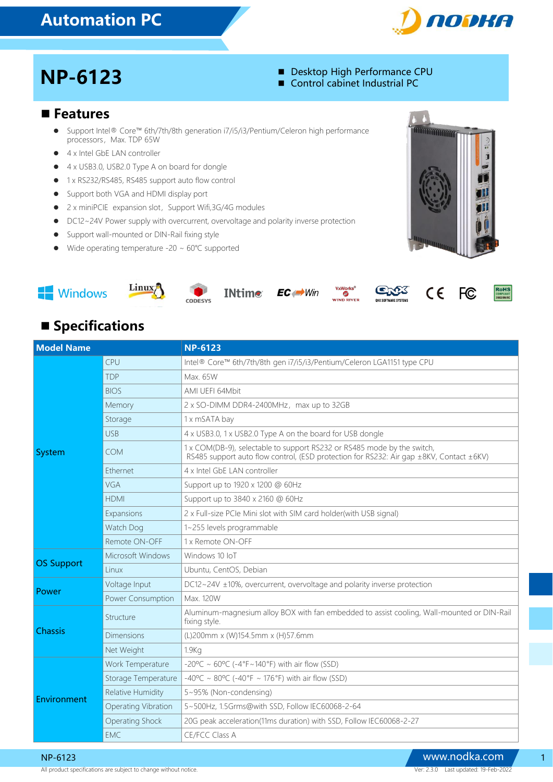# Automation PC



**MATHAMATIQUE** 

- NP-6123 Desktop High Performance CPU Control cabinet Industrial PC
	-

#### ■ Features

- Support Intel® Core™ 6th/7th/8th generation i7/i5/i3/Pentium/Celeron high performance processors, Max. TDP 65W
- 4 x Intel GbE LAN controller
- 4 x USB3.0, USB2.0 Type A on board for dongle
- 1 x RS232/RS485, RS485 support auto flow control
- **•** Support both VGA and HDMI display port
- 2 x miniPCIE expansion slot, Support Wifi,3G/4G modules
- DC12~24V Power supply with overcurrent, overvoltage and polarity inverse protection
- **•** Support wall-mounted or DIN-Rail fixing style
- Wide operating temperature -20 ~ 60℃ supported











 $\overline{m}$ 





FC,

## **Specifications**

| <b>Model Name</b> |                        | <b>NP-6123</b>                                                                                                                                                     |  |
|-------------------|------------------------|--------------------------------------------------------------------------------------------------------------------------------------------------------------------|--|
| System            | CPU                    | Intel® Core™ 6th/7th/8th gen i7/i5/i3/Pentium/Celeron LGA1151 type CPU                                                                                             |  |
|                   | <b>TDP</b>             | Max. 65W                                                                                                                                                           |  |
|                   | <b>BIOS</b>            | AMI UEFI 64Mbit                                                                                                                                                    |  |
|                   | Memory                 | 2 x SO-DIMM DDR4-2400MHz, max up to 32GB                                                                                                                           |  |
|                   | Storage                | 1 x mSATA bay                                                                                                                                                      |  |
|                   | <b>USB</b>             | 4 x USB3.0, 1 x USB2.0 Type A on the board for USB dongle                                                                                                          |  |
|                   | <b>COM</b>             | 1 x COM(DB-9), selectable to support RS232 or RS485 mode by the switch,<br>RS485 support auto flow control, (ESD protection for RS232: Air gap ±8KV, Contact ±6KV) |  |
|                   | <b>Fthernet</b>        | 4 x Intel GbF I AN controller                                                                                                                                      |  |
|                   | VGA                    | Support up to 1920 x 1200 @ 60Hz                                                                                                                                   |  |
|                   | <b>HDMI</b>            | Support up to 3840 x 2160 @ 60Hz                                                                                                                                   |  |
|                   | Expansions             | 2 x Full-size PCIe Mini slot with SIM card holder(with USB signal)                                                                                                 |  |
|                   | Watch Dog              | 1~255 levels programmable                                                                                                                                          |  |
|                   | Remote ON-OFF          | 1 x Remote ON-OFF                                                                                                                                                  |  |
| <b>OS Support</b> | Microsoft Windows      | Windows 10 IoT                                                                                                                                                     |  |
|                   | <b>l</b> inux          | Ubuntu, CentOS, Debian                                                                                                                                             |  |
| Power             | Voltage Input          | DC12~24V ±10%, overcurrent, overvoltage and polarity inverse protection                                                                                            |  |
|                   | Power Consumption      | Max. 120W                                                                                                                                                          |  |
| <b>Chassis</b>    | Structure              | Aluminum-magnesium alloy BOX with fan embedded to assist cooling, Wall-mounted or DIN-Rail<br>fixing style.                                                        |  |
|                   | Dimensions             | (L)200mm x (W)154.5mm x (H)57.6mm                                                                                                                                  |  |
|                   | Net Weight             | 1.9Kq                                                                                                                                                              |  |
| Environment       | Work Temperature       | $-20^{\circ}C \sim 60^{\circ}C$ (-4°F~140°F) with air flow (SSD)                                                                                                   |  |
|                   | Storage Temperature    | $-40^{\circ}$ C ~ 80°C (-40°F ~ 176°F) with air flow (SSD)                                                                                                         |  |
|                   | Relative Humidity      | 5~95% (Non-condensing)                                                                                                                                             |  |
|                   | Operating Vibration    | 5~500Hz, 1.5Grms@with SSD, Follow IEC60068-2-64                                                                                                                    |  |
|                   | <b>Operating Shock</b> | 20G peak acceleration(11ms duration) with SSD, Follow IEC60068-2-27                                                                                                |  |
|                   | <b>FMC</b>             | CE/FCC Class A                                                                                                                                                     |  |